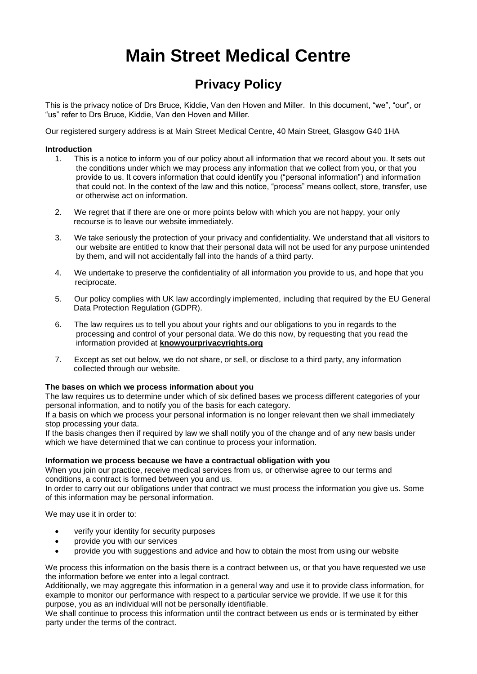# **Main Street Medical Centre**

# **Privacy Policy**

This is the privacy notice of Drs Bruce, Kiddie, Van den Hoven and Miller. In this document, "we", "our", or "us" refer to Drs Bruce, Kiddie, Van den Hoven and Miller.

Our registered surgery address is at Main Street Medical Centre, 40 Main Street, Glasgow G40 1HA

# **Introduction**

- 1. This is a notice to inform you of our policy about all information that we record about you. It sets out the conditions under which we may process any information that we collect from you, or that you provide to us. It covers information that could identify you ("personal information") and information that could not. In the context of the law and this notice, "process" means collect, store, transfer, use or otherwise act on information.
- 2. We regret that if there are one or more points below with which you are not happy, your only recourse is to leave our website immediately.
- 3. We take seriously the protection of your privacy and confidentiality. We understand that all visitors to our website are entitled to know that their personal data will not be used for any purpose unintended by them, and will not accidentally fall into the hands of a third party.
- 4. We undertake to preserve the confidentiality of all information you provide to us, and hope that you reciprocate.
- 5. Our policy complies with UK law accordingly implemented, including that required by the EU General Data Protection Regulation (GDPR).
- 6. The law requires us to tell you about your rights and our obligations to you in regards to the processing and control of your personal data. We do this now, by requesting that you read the information provided at **[knowyourprivacyrights.org](http://www.knowyourprivacyrights.org/)**
- 7. Except as set out below, we do not share, or sell, or disclose to a third party, any information collected through our website.

#### **The bases on which we process information about you**

The law requires us to determine under which of six defined bases we process different categories of your personal information, and to notify you of the basis for each category.

If a basis on which we process your personal information is no longer relevant then we shall immediately stop processing your data.

If the basis changes then if required by law we shall notify you of the change and of any new basis under which we have determined that we can continue to process your information.

# **Information we process because we have a contractual obligation with you**

When you join our practice, receive medical services from us, or otherwise agree to our terms and conditions, a contract is formed between you and us.

In order to carry out our obligations under that contract we must process the information you give us. Some of this information may be personal information.

We may use it in order to:

- verify your identity for security purposes
- provide you with our services
- provide you with suggestions and advice and how to obtain the most from using our website

We process this information on the basis there is a contract between us, or that you have requested we use the information before we enter into a legal contract.

Additionally, we may aggregate this information in a general way and use it to provide class information, for example to monitor our performance with respect to a particular service we provide. If we use it for this purpose, you as an individual will not be personally identifiable.

We shall continue to process this information until the contract between us ends or is terminated by either party under the terms of the contract.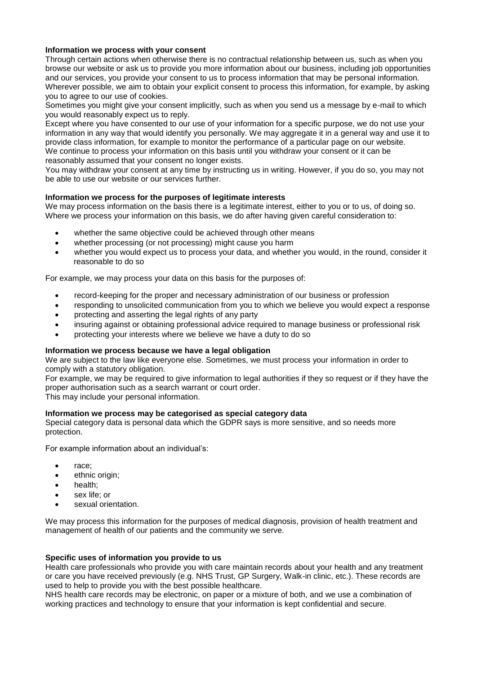# **Information we process with your consent**

Through certain actions when otherwise there is no contractual relationship between us, such as when you browse our website or ask us to provide you more information about our business, including job opportunities and our services, you provide your consent to us to process information that may be personal information. Wherever possible, we aim to obtain your explicit consent to process this information, for example, by asking you to agree to our use of cookies.

Sometimes you might give your consent implicitly, such as when you send us a message by e-mail to which you would reasonably expect us to reply.

Except where you have consented to our use of your information for a specific purpose, we do not use your information in any way that would identify you personally. We may aggregate it in a general way and use it to provide class information, for example to monitor the performance of a particular page on our website. We continue to process your information on this basis until you withdraw your consent or it can be reasonably assumed that your consent no longer exists.

You may withdraw your consent at any time by instructing us in writing. However, if you do so, you may not be able to use our website or our services further.

#### **Information we process for the purposes of legitimate interests**

We may process information on the basis there is a legitimate interest, either to you or to us, of doing so. Where we process your information on this basis, we do after having given careful consideration to:

- whether the same objective could be achieved through other means
- whether processing (or not processing) might cause you harm
- whether you would expect us to process your data, and whether you would, in the round, consider it reasonable to do so

For example, we may process your data on this basis for the purposes of:

- record-keeping for the proper and necessary administration of our business or profession
- responding to unsolicited communication from you to which we believe you would expect a response
- protecting and asserting the legal rights of any party
- insuring against or obtaining professional advice required to manage business or professional risk
- protecting your interests where we believe we have a duty to do so

#### **Information we process because we have a legal obligation**

We are subject to the law like everyone else. Sometimes, we must process your information in order to comply with a statutory obligation.

For example, we may be required to give information to legal authorities if they so request or if they have the proper authorisation such as a search warrant or court order.

This may include your personal information.

#### **Information we process may be categorised as special category data**

Special category data is personal data which the GDPR says is more sensitive, and so needs more protection.

For example information about an individual's:

- race;
- ethnic origin;
- health;
- sex life; or
- sexual orientation.

We may process this information for the purposes of medical diagnosis, provision of health treatment and management of health of our patients and the community we serve.

#### **Specific uses of information you provide to us**

Health care professionals who provide you with care maintain records about your health and any treatment or care you have received previously (e.g. NHS Trust, GP Surgery, Walk-in clinic, etc.). These records are used to help to provide you with the best possible healthcare.

NHS health care records may be electronic, on paper or a mixture of both, and we use a combination of working practices and technology to ensure that your information is kept confidential and secure.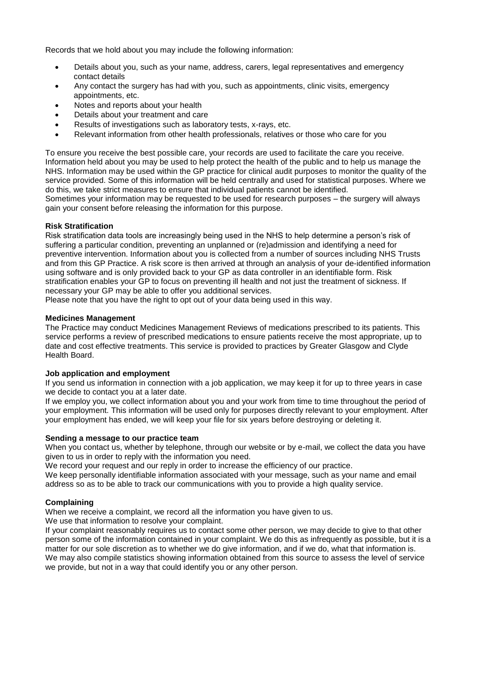Records that we hold about you may include the following information:

- Details about you, such as your name, address, carers, legal representatives and emergency contact details
- Any contact the surgery has had with you, such as appointments, clinic visits, emergency appointments, etc.
- Notes and reports about your health
- Details about your treatment and care
- Results of investigations such as laboratory tests, x-rays, etc.
- Relevant information from other health professionals, relatives or those who care for you

To ensure you receive the best possible care, your records are used to facilitate the care you receive. Information held about you may be used to help protect the health of the public and to help us manage the NHS. Information may be used within the GP practice for clinical audit purposes to monitor the quality of the service provided. Some of this information will be held centrally and used for statistical purposes. Where we do this, we take strict measures to ensure that individual patients cannot be identified.

Sometimes your information may be requested to be used for research purposes – the surgery will always gain your consent before releasing the information for this purpose.

#### **Risk Stratification**

Risk stratification data tools are increasingly being used in the NHS to help determine a person's risk of suffering a particular condition, preventing an unplanned or (re)admission and identifying a need for preventive intervention. Information about you is collected from a number of sources including NHS Trusts and from this GP Practice. A risk score is then arrived at through an analysis of your de-identified information using software and is only provided back to your GP as data controller in an identifiable form. Risk stratification enables your GP to focus on preventing ill health and not just the treatment of sickness. If necessary your GP may be able to offer you additional services.

Please note that you have the right to opt out of your data being used in this way.

#### **Medicines Management**

The Practice may conduct Medicines Management Reviews of medications prescribed to its patients. This service performs a review of prescribed medications to ensure patients receive the most appropriate, up to date and cost effective treatments. This service is provided to practices by Greater Glasgow and Clyde Health Board.

#### **Job application and employment**

If you send us information in connection with a job application, we may keep it for up to three years in case we decide to contact you at a later date.

If we employ you, we collect information about you and your work from time to time throughout the period of your employment. This information will be used only for purposes directly relevant to your employment. After your employment has ended, we will keep your file for six years before destroying or deleting it.

#### **Sending a message to our practice team**

When you contact us, whether by telephone, through our website or by e-mail, we collect the data you have given to us in order to reply with the information you need.

We record your request and our reply in order to increase the efficiency of our practice.

We keep personally identifiable information associated with your message, such as your name and email address so as to be able to track our communications with you to provide a high quality service.

# **Complaining**

When we receive a complaint, we record all the information you have given to us.

We use that information to resolve your complaint.

If your complaint reasonably requires us to contact some other person, we may decide to give to that other person some of the information contained in your complaint. We do this as infrequently as possible, but it is a matter for our sole discretion as to whether we do give information, and if we do, what that information is. We may also compile statistics showing information obtained from this source to assess the level of service we provide, but not in a way that could identify you or any other person.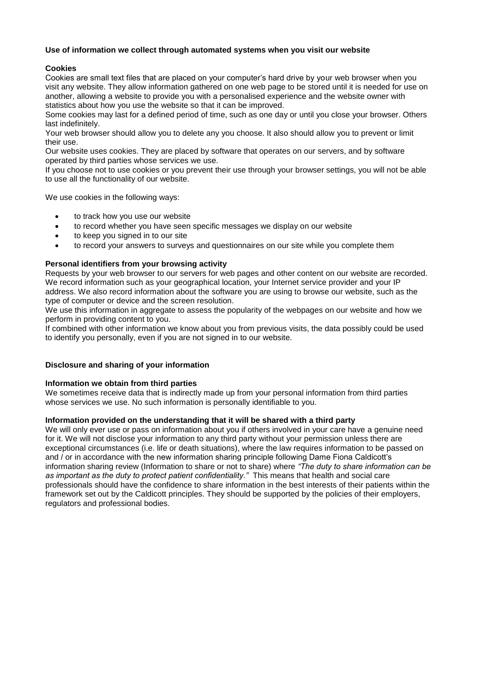# **Use of information we collect through automated systems when you visit our website**

# **Cookies**

Cookies are small text files that are placed on your computer's hard drive by your web browser when you visit any website. They allow information gathered on one web page to be stored until it is needed for use on another, allowing a website to provide you with a personalised experience and the website owner with statistics about how you use the website so that it can be improved.

Some cookies may last for a defined period of time, such as one day or until you close your browser. Others last indefinitely.

Your web browser should allow you to delete any you choose. It also should allow you to prevent or limit their use.

Our website uses cookies. They are placed by software that operates on our servers, and by software operated by third parties whose services we use.

If you choose not to use cookies or you prevent their use through your browser settings, you will not be able to use all the functionality of our website.

We use cookies in the following ways:

- to track how you use our website
- to record whether you have seen specific messages we display on our website
- to keep you signed in to our site
- to record your answers to surveys and questionnaires on our site while you complete them

#### **Personal identifiers from your browsing activity**

Requests by your web browser to our servers for web pages and other content on our website are recorded. We record information such as your geographical location, your Internet service provider and your IP address. We also record information about the software you are using to browse our website, such as the type of computer or device and the screen resolution.

We use this information in aggregate to assess the popularity of the webpages on our website and how we perform in providing content to you.

If combined with other information we know about you from previous visits, the data possibly could be used to identify you personally, even if you are not signed in to our website.

#### **Disclosure and sharing of your information**

#### **Information we obtain from third parties**

We sometimes receive data that is indirectly made up from your personal information from third parties whose services we use. No such information is personally identifiable to you.

#### **Information provided on the understanding that it will be shared with a third party**

We will only ever use or pass on information about you if others involved in your care have a genuine need for it. We will not disclose your information to any third party without your permission unless there are exceptional circumstances (i.e. life or death situations), where the law requires information to be passed on and / or in accordance with the new information sharing principle following Dame Fiona Caldicott's information sharing review (Information to share or not to share) where *"The duty to share information can be as important as the duty to protect patient confidentiality."* This means that health and social care professionals should have the confidence to share information in the best interests of their patients within the framework set out by the Caldicott principles. They should be supported by the policies of their employers, regulators and professional bodies.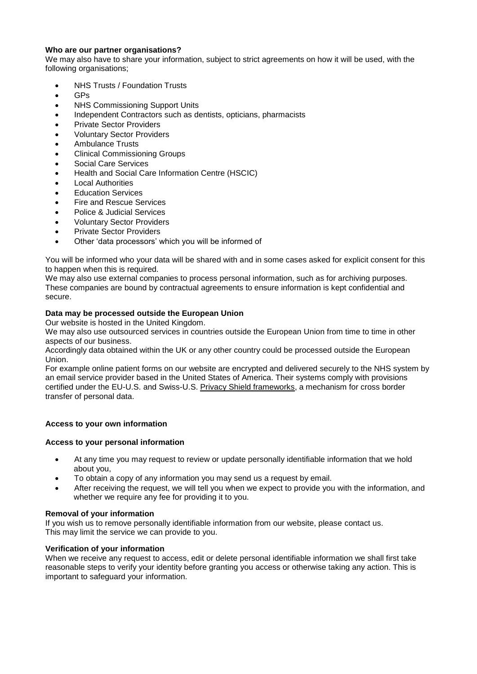# **Who are our partner organisations?**

We may also have to share your information, subject to strict agreements on how it will be used, with the following organisations;

- NHS Trusts / Foundation Trusts
- GPs
- NHS Commissioning Support Units
- Independent Contractors such as dentists, opticians, pharmacists
- Private Sector Providers
- Voluntary Sector Providers
- Ambulance Trusts
- Clinical Commissioning Groups
- Social Care Services
- Health and Social Care Information Centre (HSCIC)
- Local Authorities
- Education Services
- Fire and Rescue Services
- Police & Judicial Services
- Voluntary Sector Providers
- Private Sector Providers
- Other 'data processors' which you will be informed of

You will be informed who your data will be shared with and in some cases asked for explicit consent for this to happen when this is required.

We may also use external companies to process personal information, such as for archiving purposes. These companies are bound by contractual agreements to ensure information is kept confidential and secure.

# **Data may be processed outside the European Union**

Our website is hosted in the United Kingdom.

We may also use outsourced services in countries outside the European Union from time to time in other aspects of our business.

Accordingly data obtained within the UK or any other country could be processed outside the European Union.

For example online patient forms on our website are encrypted and delivered securely to the NHS system by an email service provider based in the United States of America. Their systems comply with provisions certified under the EU-U.S. and Swiss-U.S. [Privacy Shield frameworks,](https://www.privacyshield.gov/welcome) a mechanism for cross border transfer of personal data.

# **Access to your own information**

# **Access to your personal information**

- At any time you may request to review or update personally identifiable information that we hold about you,
- To obtain a copy of any information you may send us a request by email.
- After receiving the request, we will tell you when we expect to provide you with the information, and whether we require any fee for providing it to you.

# **Removal of your information**

If you wish us to remove personally identifiable information from our website, please contact us. This may limit the service we can provide to you.

# **Verification of your information**

When we receive any request to access, edit or delete personal identifiable information we shall first take reasonable steps to verify your identity before granting you access or otherwise taking any action. This is important to safeguard your information.